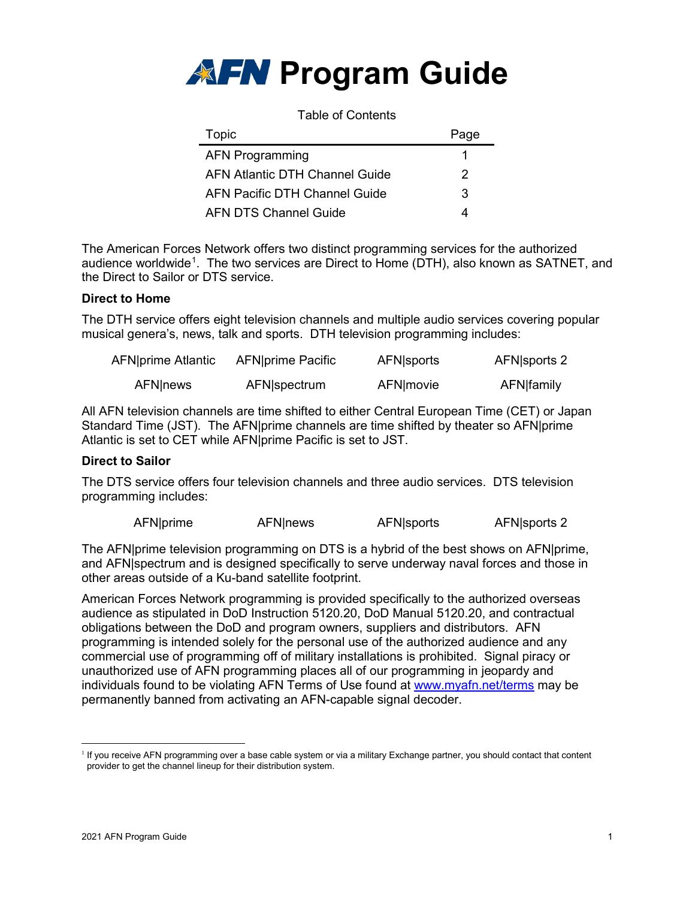

| <b>Table of Contents</b>       |      |  |  |
|--------------------------------|------|--|--|
| Topic                          | Page |  |  |
| <b>AFN Programming</b>         |      |  |  |
| AFN Atlantic DTH Channel Guide | 2    |  |  |
| AFN Pacific DTH Channel Guide  | 3    |  |  |
| <b>AFN DTS Channel Guide</b>   |      |  |  |

The American Forces Network offers two distinct programming services for the authorized audience worldwide<sup>[1](#page-0-0)</sup>. The two services are Direct to Home (DTH), also known as SATNET, and the Direct to Sailor or DTS service.

#### **Direct to Home**

The DTH service offers eight television channels and multiple audio services covering popular musical genera's, news, talk and sports. DTH television programming includes:

| AFN prime Atlantic | AFN prime Pacific | AFN sports | AFN sports 2 |
|--------------------|-------------------|------------|--------------|
| <b>AFN</b> news    | AFN spectrum      | AFN movie  | AFN family   |

All AFN television channels are time shifted to either Central European Time (CET) or Japan Standard Time (JST). The AFN|prime channels are time shifted by theater so AFN|prime Atlantic is set to CET while AFN|prime Pacific is set to JST.

#### **Direct to Sailor**

The DTS service offers four television channels and three audio services. DTS television programming includes:

| AFN prime | <b>AFN</b> news | AFN sports | AFN sports 2 |
|-----------|-----------------|------------|--------------|
|           |                 |            |              |

The AFN|prime television programming on DTS is a hybrid of the best shows on AFN|prime, and AFN|spectrum and is designed specifically to serve underway naval forces and those in other areas outside of a Ku-band satellite footprint.

American Forces Network programming is provided specifically to the authorized overseas audience as stipulated in DoD Instruction 5120.20, DoD Manual 5120.20, and contractual obligations between the DoD and program owners, suppliers and distributors. AFN programming is intended solely for the personal use of the authorized audience and any commercial use of programming off of military installations is prohibited. Signal piracy or unauthorized use of AFN programming places all of our programming in jeopardy and individuals found to be violating AFN Terms of Use found at [www.myafn.net/terms](http://www.myafn.net/terms) may be permanently banned from activating an AFN-capable signal decoder.

<span id="page-0-0"></span><sup>&</sup>lt;sup>1</sup> If you receive AFN programming over a base cable system or via a military Exchange partner, you should contact that content provider to get the channel lineup for their distribution system.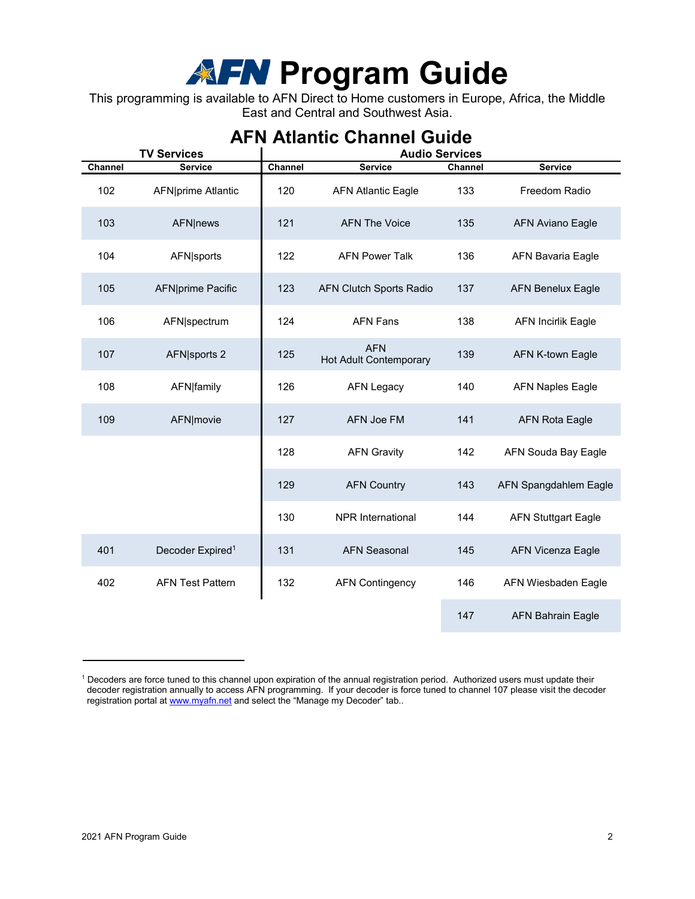## **Program Guide**

This programming is available to AFN Direct to Home customers in Europe, Africa, the Middle East and Central and Southwest Asia.

| <b>TV Services</b> |                              | <b>Audio Services</b> |                                      |         |                            |
|--------------------|------------------------------|-----------------------|--------------------------------------|---------|----------------------------|
| Channel            | <b>Service</b>               | Channel               | <b>Service</b>                       | Channel | <b>Service</b>             |
| 102                | <b>AFN</b> prime Atlantic    | 120                   | <b>AFN Atlantic Eagle</b>            | 133     | Freedom Radio              |
| 103                | <b>AFN</b>  news             | 121                   | <b>AFN The Voice</b>                 | 135     | <b>AFN Aviano Eagle</b>    |
| 104                | <b>AFN</b> sports            | 122                   | <b>AFN Power Talk</b>                | 136     | <b>AFN Bavaria Eagle</b>   |
| 105                | AFN prime Pacific            | 123                   | <b>AFN Clutch Sports Radio</b>       | 137     | <b>AFN Benelux Eagle</b>   |
| 106                | AFN spectrum                 | 124                   | <b>AFN Fans</b>                      | 138     | <b>AFN Incirlik Eagle</b>  |
| 107                | AFN sports 2                 | 125                   | <b>AFN</b><br>Hot Adult Contemporary | 139     | AFN K-town Eagle           |
| 108                | AFN family                   | 126                   | <b>AFN Legacy</b>                    | 140     | <b>AFN Naples Eagle</b>    |
| 109                | AFN movie                    | 127                   | AFN Joe FM                           | 141     | <b>AFN Rota Eagle</b>      |
|                    |                              | 128                   | <b>AFN Gravity</b>                   | 142     | AFN Souda Bay Eagle        |
|                    |                              | 129                   | <b>AFN Country</b>                   | 143     | AFN Spangdahlem Eagle      |
|                    |                              | 130                   | <b>NPR</b> International             | 144     | <b>AFN Stuttgart Eagle</b> |
| 401                | Decoder Expired <sup>1</sup> | 131                   | <b>AFN Seasonal</b>                  | 145     | <b>AFN Vicenza Eagle</b>   |
| 402                | <b>AFN Test Pattern</b>      | 132                   | <b>AFN Contingency</b>               | 146     | AFN Wiesbaden Eagle        |
|                    |                              |                       |                                      | 147     | <b>AFN Bahrain Eagle</b>   |

### **AFN Atlantic Channel Guide**

<sup>1</sup> Decoders are force tuned to this channel upon expiration of the annual registration period. Authorized users must update their decoder registration annually to access AFN programming. If your decoder is force tuned to channel 107 please visit the decoder registration portal a[t www.myafn.net](http://www.myafn.net/) and select the "Manage my Decoder" tab..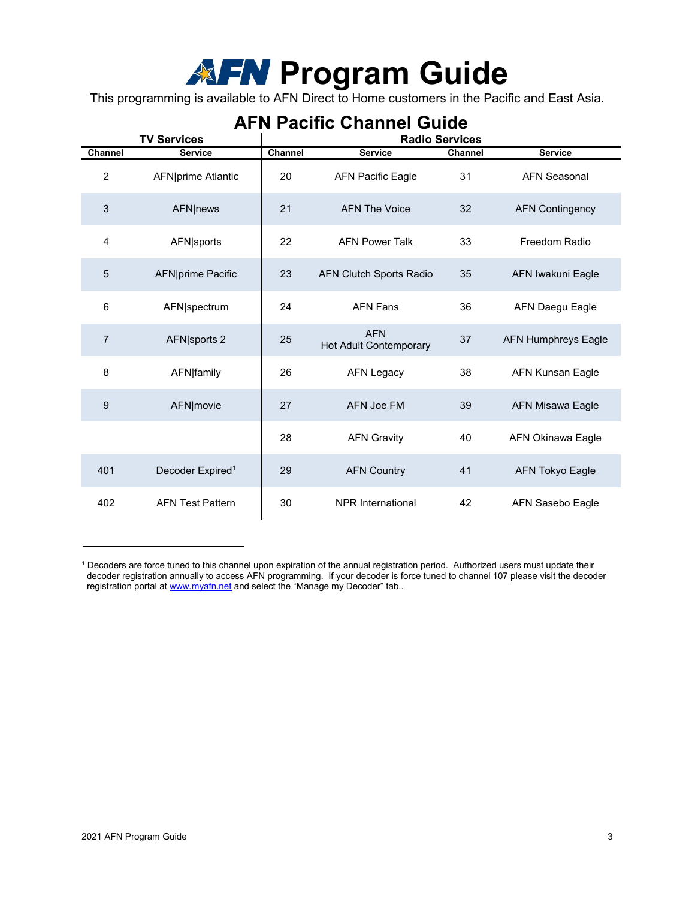# **Program Guide**

This programming is available to AFN Direct to Home customers in the Pacific and East Asia.

|                | <b>TV Services</b>           | ALIV LAGING ONAHIJEL OUIUG<br><b>Radio Services</b> |                                             |         |                            |
|----------------|------------------------------|-----------------------------------------------------|---------------------------------------------|---------|----------------------------|
| <b>Channel</b> | <b>Service</b>               | Channel                                             | <b>Service</b>                              | Channel | <b>Service</b>             |
| $\overline{c}$ | AFN prime Atlantic           | 20                                                  | <b>AFN Pacific Eagle</b>                    | 31      | <b>AFN Seasonal</b>        |
| $\mathbf{3}$   | <b>AFN</b>  news             | 21                                                  | <b>AFN The Voice</b>                        | 32      | <b>AFN Contingency</b>     |
| 4              | <b>AFN</b> sports            | 22                                                  | <b>AFN Power Talk</b>                       | 33      | Freedom Radio              |
| 5              | AFN prime Pacific            | 23                                                  | <b>AFN Clutch Sports Radio</b>              | 35      | AFN Iwakuni Eagle          |
| 6              | AFN spectrum                 | 24                                                  | <b>AFN Fans</b>                             | 36      | <b>AFN Daegu Eagle</b>     |
| $\overline{7}$ | AFN sports 2                 | 25                                                  | <b>AFN</b><br><b>Hot Adult Contemporary</b> | 37      | <b>AFN Humphreys Eagle</b> |
| 8              | AFN family                   | 26                                                  | <b>AFN Legacy</b>                           | 38      | <b>AFN Kunsan Eagle</b>    |
| 9              | AFN movie                    | 27                                                  | <b>AFN Joe FM</b>                           | 39      | <b>AFN Misawa Eagle</b>    |
|                |                              | 28                                                  | <b>AFN Gravity</b>                          | 40      | <b>AFN Okinawa Eagle</b>   |
| 401            | Decoder Expired <sup>1</sup> | 29                                                  | <b>AFN Country</b>                          | 41      | <b>AFN Tokyo Eagle</b>     |
| 402            | <b>AFN Test Pattern</b>      | 30                                                  | <b>NPR</b> International                    | 42      | AFN Sasebo Eagle           |

### **AFN Pacific Channel Guide**

 $^{\rm 1}$  Decoders are force tuned to this channel upon expiration of the annual registration period. Authorized users must update their decoder registration annually to access AFN programming. If your decoder is force tuned to channel 107 please visit the decoder registration portal at [www.myafn.net](http://www.myafn.net/) and select the "Manage my Decoder" tab..